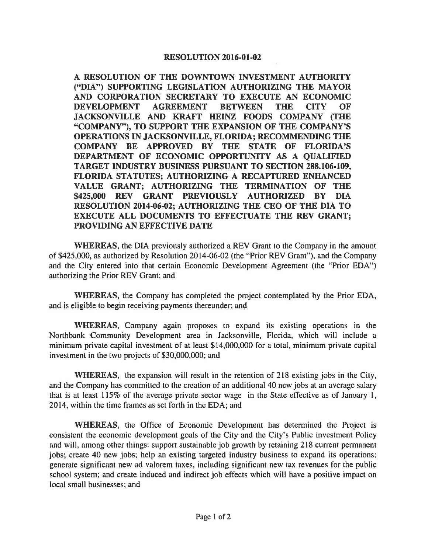## **RESOLUTION 2016-01-02**

**A RESOLUTION OF THE DOWNTOWN INVESTMENT AUTHORITY ("DIA") SUPPORTING LEGISLATION AUTHORIZING THE MAYOR AND CORPORATION SECRETARY TO EXECUTE AN ECONOMIC DEVELOPMENT AGREEMENT BETWEEN THE CITY OF JACKSONVILLE AND KRAFT HEINZ FOODS COMPANY (THE "COMPANY"), TO SUPPORT THE EXPANSION OF THE COMPANY'S OPERATIONS IN JACKSONVILLE, FLORIDA; RECOMMENDING THE COMPANY BE APPROVED BY THE STATE OF FLORIDA'S DEPARTMENT OF ECONOMIC OPPORTUNITY AS A QUALIFIED TARGET INDUSTRY BUSINESS PURSUANT TO SECTION 288.106-109, FLORIDA STATUTES; AUTHORIZING A RECAPTURED ENHANCED VALUE GRANT; AUTHORIZING THE TERMINATION OF THE \$425,000 REV GRANT PREVIOUSLY AUTHORIZED BY DIA RESOLUTION 2014-06-02; AUTHORIZING THE CEO OF THE DIA TO EXECUTE ALL DOCUMENTS TO EFFECTUATE THE REV GRANT; PROVIDING AN EFFECTIVE DATE** 

**WHEREAS,** the DIA previously authorized a REV Grant to the Company in the amount of \$425,000, as authorized by Resolution 2014-06-02 (the "Prior REV Grant"), and the Company and the City entered into that certain Economic Development Agreement (the "Prior EDA") authorizing the Prior REV Grant; and

**WHEREAS,** the Company has completed the project contemplated by the Prior EDA, and is eligible to begin receiving payments thereunder; and

**WHEREAS,** Company again proposes to expand its existing operations in the Northbank Community Development area in Jacksonville, Florida, which will include a minimum private capital investment of at least \$14,000,000 for a total, minimum private capital investment in the two projects of \$30,000,000; and

**WHEREAS,** the expansion will result in the retention of 218 existing jobs in the City, and the Company has committed to the creation of an additional 40 new jobs at an average salary that is at least 115% of the average private sector wage in the State effective as of January 1, 2014, within the time frames as set forth in the EDA; and

**WHEREAS,** the Office of Economic Development has determined the Project is consistent the economic development goals of the City and the City's Public investment Policy and will, among other things: support sustainable job growth by retaining 218 current permanent jobs; create 40 new jobs; help an existing targeted industry business to expand its operations; generate significant new ad valorem taxes, including significant new tax revenues for the public school system; and create induced and indirect job effects which will have a positive impact on local small businesses; and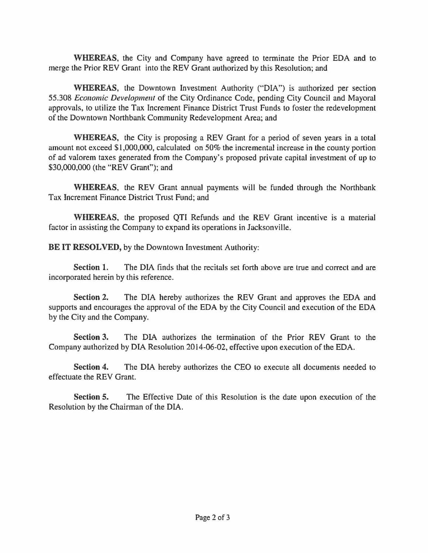**WHEREAS,** the City and Company have agreed to terminate the Prior EDA and to merge the Prior REV Grant into the REV Grant authorized by this Resolution; and

**WHEREAS,** the Downtown Investment Authority ("DIA") is authorized per section 55.308 *Economic Development* of the City Ordinance Code, pending City Council and Mayoral approvals, to utilize the Tax Increment Finance District Trust Funds to foster the redevelopment of the Downtown Northbank Community Redevelopment Area; and

**WHEREAS,** the City is proposing a REV Grant for a period of seven years in a total amount not exceed \$1,000,000, calculated on 50% the incremental increase in the county portion of ad valorem taxes generated from the Company's proposed private capital investment of up to \$30,000,000 (the "REV Grant"); and

**WHEREAS,** the REV Grant annual payments will be funded through the Northbank Tax Increment Finance District Trust Fund; and

**WHEREAS,** the proposed QTI Refunds and the REV Grant incentive is a material factor in assisting the Company to expand its operations in Jacksonville.

**BE IT RESOLVED, by the Downtown Investment Authority:** 

**Section 1.** The DIA finds that the recitals set forth above are true and correct and are incorporated herein by this reference.

**Section 2.** The DIA hereby authorizes the REV Grant and approves the EDA and supports and encourages the approval of the EDA by the City Council and execution of the EDA by the City and the Company.

**Section 3.** The DIA authorizes the termination of the Prior REV Grant to the Company authorized by DIA Resolution 2014-06-02, effective upon execution of the EDA.

**Section 4.** The DIA hereby authorizes the CEO to execute all documents needed to effectuate the REV Grant.

**Section 5.** The Effective Date of this Resolution is the date upon execution of the Resolution by the Chairman of the DIA.